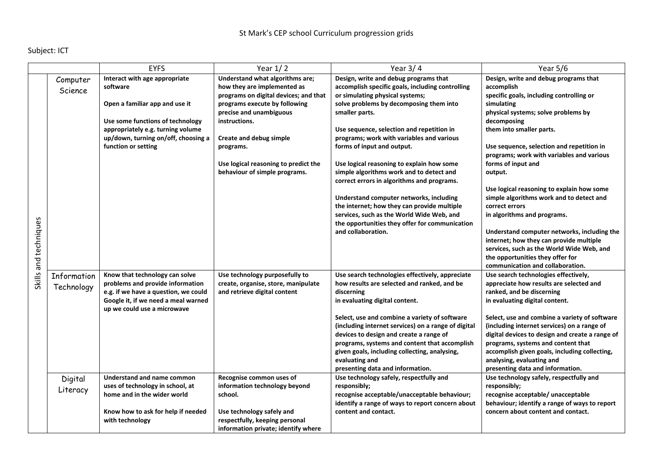## Subject: ICT

|                                                  | <b>EYFS</b>                                                                                                                                                                                                                                                                                                                                | Year $1/2$                                                                                                                                                                                                                                                                                                   | Year $3/4$                                                                                                                                                                                                                                                                                                                                                                                                                                                                                                                                                                                                                                                              | Year 5/6                                                                                                                                                                                                                                                                                                                                                                                                                                                                                                                                                                                                                                                                            |
|--------------------------------------------------|--------------------------------------------------------------------------------------------------------------------------------------------------------------------------------------------------------------------------------------------------------------------------------------------------------------------------------------------|--------------------------------------------------------------------------------------------------------------------------------------------------------------------------------------------------------------------------------------------------------------------------------------------------------------|-------------------------------------------------------------------------------------------------------------------------------------------------------------------------------------------------------------------------------------------------------------------------------------------------------------------------------------------------------------------------------------------------------------------------------------------------------------------------------------------------------------------------------------------------------------------------------------------------------------------------------------------------------------------------|-------------------------------------------------------------------------------------------------------------------------------------------------------------------------------------------------------------------------------------------------------------------------------------------------------------------------------------------------------------------------------------------------------------------------------------------------------------------------------------------------------------------------------------------------------------------------------------------------------------------------------------------------------------------------------------|
| Computer<br>Science<br>Skills and techniques     | Interact with age appropriate<br>software<br>Open a familiar app and use it<br>Use some functions of technology<br>appropriately e.g. turning volume<br>up/down, turning on/off, choosing a<br>function or setting                                                                                                                         | Understand what algorithms are;<br>how they are implemented as<br>programs on digital devices; and that<br>programs execute by following<br>precise and unambiguous<br>instructions.<br><b>Create and debug simple</b><br>programs.<br>Use logical reasoning to predict the<br>behaviour of simple programs. | Design, write and debug programs that<br>accomplish specific goals, including controlling<br>or simulating physical systems;<br>solve problems by decomposing them into<br>smaller parts.<br>Use sequence, selection and repetition in<br>programs; work with variables and various<br>forms of input and output.<br>Use logical reasoning to explain how some<br>simple algorithms work and to detect and<br>correct errors in algorithms and programs.<br>Understand computer networks, including<br>the internet; how they can provide multiple<br>services, such as the World Wide Web, and<br>the opportunities they offer for communication<br>and collaboration. | Design, write and debug programs that<br>accomplish<br>specific goals, including controlling or<br>simulating<br>physical systems; solve problems by<br>decomposing<br>them into smaller parts.<br>Use sequence, selection and repetition in<br>programs; work with variables and various<br>forms of input and<br>output.<br>Use logical reasoning to explain how some<br>simple algorithms work and to detect and<br>correct errors<br>in algorithms and programs.<br>Understand computer networks, including the<br>internet; how they can provide multiple<br>services, such as the World Wide Web, and<br>the opportunities they offer for<br>communication and collaboration. |
| Information<br>Technology<br>Digital<br>Literacy | Know that technology can solve<br>problems and provide information<br>e.g. if we have a question, we could<br>Google it, if we need a meal warned<br>up we could use a microwave<br>Understand and name common<br>uses of technology in school, at<br>home and in the wider world<br>Know how to ask for help if needed<br>with technology | Use technology purposefully to<br>create, organise, store, manipulate<br>and retrieve digital content<br>Recognise common uses of<br>information technology beyond<br>school.<br>Use technology safely and<br>respectfully, keeping personal                                                                 | Use search technologies effectively, appreciate<br>how results are selected and ranked, and be<br>discerning<br>in evaluating digital content.<br>Select, use and combine a variety of software<br>(including internet services) on a range of digital<br>devices to design and create a range of<br>programs, systems and content that accomplish<br>given goals, including collecting, analysing,<br>evaluating and<br>presenting data and information.<br>Use technology safely, respectfully and<br>responsibly;<br>recognise acceptable/unacceptable behaviour;<br>identify a range of ways to report concern about<br>content and contact.                        | Use search technologies effectively,<br>appreciate how results are selected and<br>ranked, and be discerning<br>in evaluating digital content.<br>Select, use and combine a variety of software<br>(including internet services) on a range of<br>digital devices to design and create a range of<br>programs, systems and content that<br>accomplish given goals, including collecting,<br>analysing, evaluating and<br>presenting data and information.<br>Use technology safely, respectfully and<br>responsibly;<br>recognise acceptable/ unacceptable<br>behaviour; identify a range of ways to report<br>concern about content and contact.                                   |